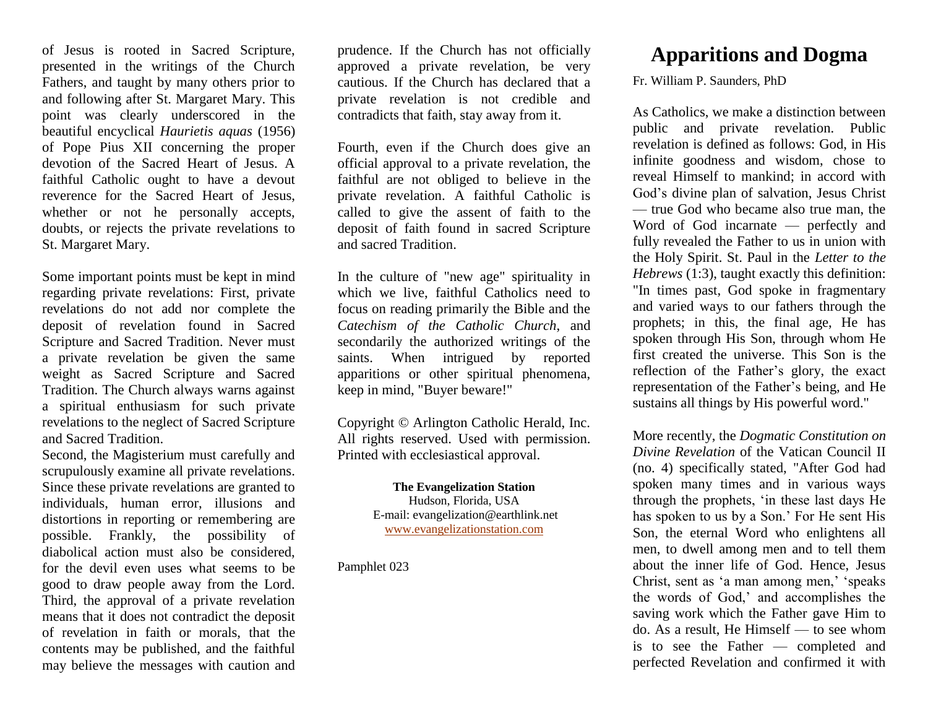of Jesus is rooted in Sacred Scripture, presented in the writings of the Church Fathers, and taught by many others prior to and following after St. Margaret Mary. This point was clearly underscored in the beautiful encyclical *Haurietis aquas* (1956) of Pope Pius XII concerning the proper devotion of the Sacred Heart of Jesus. A faithful Catholic ought to have a devout reverence for the Sacred Heart of Jesus, whether or not he personally accepts, doubts, or rejects the private revelations to St. Margaret Mary.

Some important points must be kept in mind regarding private revelations: First, private revelations do not add nor complete the deposit of revelation found in Sacred Scripture and Sacred Tradition. Never must a private revelation be given the same weight as Sacred Scripture and Sacred Tradition. The Church always warns against a spiritual enthusiasm for such private revelations to the neglect of Sacred Scripture and Sacred Tradition.

Second, the Magisterium must carefully and scrupulously examine all private revelations. Since these private revelations are granted to individuals, human error, illusions and distortions in reporting or remembering are possible. Frankly, the possibility of diabolical action must also be considered, for the devil even uses what seems to be good to draw people away from the Lord. Third, the approval of a private revelation means that it does not contradict the deposit of revelation in faith or morals, that the contents may be published, and the faithful may believe the messages with caution and

prudence. If the Church has not officially approved a private revelation, be very cautious. If the Church has declared that a private revelation is not credible and contradicts that faith, stay away from it.

Fourth, even if the Church does give an official approval to a private revelation, the faithful are not obliged to believe in the private revelation. A faithful Catholic is called to give the assent of faith to the deposit of faith found in sacred Scripture and sacred Tradition.

In the culture of "new age" spirituality in which we live, faithful Catholics need to focus on reading primarily the Bible and the *Catechism of the Catholic Church*, and secondarily the authorized writings of the saints. When intrigued by reported apparitions or other spiritual phenomena, keep in mind, "Buyer beware!"

Copyright © Arlington Catholic Herald, Inc. All rights reserved. Used with permission. Printed with ecclesiastical approval.

> **The Evangelization Station** Hudson, Florida, USA E-mail: evangelization@earthlink.net [www.evangelizationstation.com](http://www.pjpiisoe.org/)

Pamphlet 023

## **Apparitions and Dogma**

Fr. William P. Saunders, PhD

As Catholics, we make a distinction between public and private revelation. Public revelation is defined as follows: God, in His infinite goodness and wisdom, chose to reveal Himself to mankind; in accord with God's divine plan of salvation, Jesus Christ — true God who became also true man, the Word of God incarnate — perfectly and fully revealed the Father to us in union with the Holy Spirit. St. Paul in the *Letter to the Hebrews* (1:3), taught exactly this definition: "In times past, God spoke in fragmentary and varied ways to our fathers through the prophets; in this, the final age, He has spoken through His Son, through whom He first created the universe. This Son is the reflection of the Father's glory, the exact representation of the Father's being, and He sustains all things by His powerful word."

More recently, the *Dogmatic Constitution on Divine Revelation* of the Vatican Council II (no. 4) specifically stated, "After God had spoken many times and in various ways through the prophets, 'in these last days He has spoken to us by a Son.' For He sent His Son, the eternal Word who enlightens all men, to dwell among men and to tell them about the inner life of God. Hence, Jesus Christ, sent as 'a man among men,' 'speaks the words of God,' and accomplishes the saving work which the Father gave Him to do. As a result, He Himself — to see whom is to see the Father — completed and perfected Revelation and confirmed it with